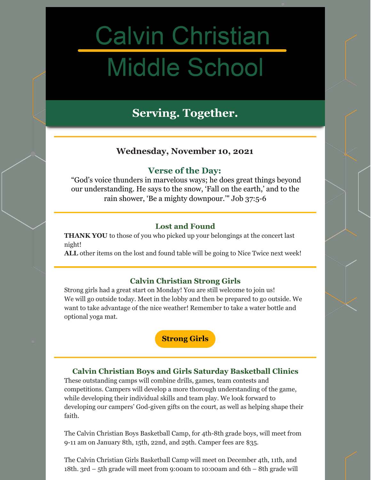# **Calvin Christian Middle School**

## **Serving. Together.**

## **Wednesday, November 10, 2021**

## **Verse of the Day:**

"God's voice thunders in marvelous ways; he does great things beyond our understanding. He says to the snow, 'Fall on the earth,' and to the rain shower, 'Be a mighty downpour.'" Job 37:5-6

#### **Lost and Found**

**THANK YOU** to those of you who picked up your belongings at the concert last night!

**ALL** other items on the lost and found table will be going to Nice Twice next week!

#### **Calvin Christian Strong Girls**

Strong girls had a great start on Monday! You are still welcome to join us! We will go outside today. Meet in the lobby and then be prepared to go outside. We want to take advantage of the nice weather! Remember to take a water bottle and optional yoga mat.

## **[Strong](https://files.constantcontact.com/9f9c2db7501/431e90a3-273b-4d5f-a7d4-b1827330693f.pdf) Girls**

#### **Calvin Christian Boys and Girls Saturday Basketball Clinics**

These outstanding camps will combine drills, games, team contests and competitions. Campers will develop a more thorough understanding of the game, while developing their individual skills and team play. We look forward to developing our campers' God-given gifts on the court, as well as helping shape their faith.

The Calvin Christian Boys Basketball Camp, for 4th-8th grade boys, will meet from 9-11 am on January 8th, 15th, 22nd, and 29th. Camper fees are \$35.

The Calvin Christian Girls Basketball Camp will meet on December 4th, 11th, and 18th. 3rd – 5th grade will meet from 9:00am to 10:00am and 6th – 8th grade will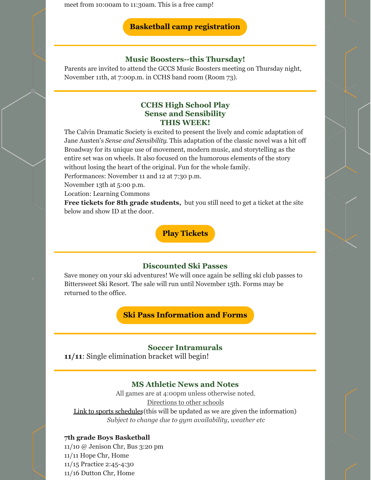meet from 10:00am to 11:30am. This is a free camp!

#### **Basketball camp [registration](https://www.gosquires.org/camps-events/)**

#### **Music Boosters--this Thursday!**

Parents are invited to attend the GCCS Music Boosters meeting on Thursday night, November 11th, at 7:00p.m. in CCHS band room (Room 73).

### **CCHS High School Play Sense and Sensibility THIS WEEK!**

The Calvin Dramatic Society is excited to present the lively and comic adaptation of Jane Austen's *Sense and Sensibility*. This adaptation of the classic novel was a hit off Broadway for its unique use of movement, modern music, and storytelling as the entire set was on wheels. It also focused on the humorous elements of the story without losing the heart of the original. Fun for the whole family.

Performances: November 11 and 12 at 7:30 p.m.

November 13th at 5:00 p.m.

Location: Learning Commons

**Free tickets for 8th grade students,** but you still need to get a ticket at the site below and show ID at the door.

## **Play [Tickets](https://www.eventbrite.com/e/calvin-christian-presents-sense-and-sensibility-tickets-193795215707)**

#### **Discounted Ski Passes**

Save money on your ski adventures! We will once again be selling ski club passes to Bittersweet Ski Resort. The sale will run until November 15th. Forms may be returned to the office.

## **Ski Pass [Information](https://gccsski.weebly.com/) and Forms**

#### **Soccer Intramurals**

**11/11**: Single elimination bracket will begin!

#### **MS Athletic News and Notes**

All games are at 4:00pm unless otherwise noted. [Directions](https://www.gosquires.org/sports/middle-school-sports/locations/) to other schools

Link to sports [schedules](https://www.gosquires.org/sports/middle-school-sports/schedule/)(this will be updated as we are given the information) *Subject to change due to gym availability, weather etc*

#### **7th grade Boys Basketball**

11/10 @ Jenison Chr, Bus 3:20 pm 11/11 Hope Chr, Home 11/15 Practice 2:45-4:30 11/16 Dutton Chr, Home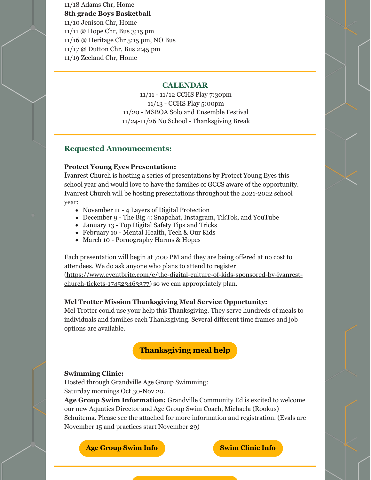11/18 Adams Chr, Home **8th grade Boys Basketball** 11/10 Jenison Chr, Home 11/11 @ Hope Chr, Bus 3;15 pm 11/16 @ Heritage Chr 5:15 pm, NO Bus 11/17 @ Dutton Chr, Bus 2:45 pm 11/19 Zeeland Chr, Home

#### **CALENDAR**

11/11 - 11/12 CCHS Play 7:30pm 11/13 - CCHS Play 5:00pm 11/20 - MSBOA Solo and Ensemble Festival 11/24-11/26 No School - Thanksgiving Break

#### **Requested Announcements:**

#### **Protect Young Eyes Presentation:**

Ivanrest Church is hosting a series of presentations by Protect Young Eyes this school year and would love to have the families of GCCS aware of the opportunity. Ivanrest Church will be hosting presentations throughout the 2021-2022 school year:

- November 11 4 Layers of Digital Protection
- December 9 The Big 4: Snapchat, Instagram, TikTok, and YouTube
- January 13 Top Digital Safety Tips and Tricks
- February 10 Mental Health, Tech & Our Kids
- March 10 Pornography Harms & Hopes

Each presentation will begin at 7:00 PM and they are being offered at no cost to attendees. We do ask anyone who plans to attend to register [\(https://www.eventbrite.com/e/the-digital-culture-of-kids-sponsored-by-ivanrest](https://r20.rs6.net/tn.jsp?f=001iEOd8JxoNt3DAQ2zv792eHZogJT-LB8_2jqB-6yA8zmx0H2D2SmGPuja8763ZS-lCRRpnYWG_Qrh93u62nD__9T7VX21gk9qJ2Dhy2RtOxzo9eetOzUzT5hJu-okZ2kPYNHz6TApTPJnbVxYYAEwNYtoM2O10Xg0sDhcGzNJ-PVaTShQI2pKdD00r7XsGeb-8YPSsF-A-YhUPM9SSCBem7LFeDlldmCLUfqKEg81iBZCls1dmHiJNa2rez7ZyW9C&c=vRYcugJ8HSjtYryal0ak06iRU8EYiYq6VLEJRUyB5-_UlWwhF1KktA==&ch=KPR5WcFqrqnRIHfcCrJrmN7113VcIoCR3D4UmQhDcg6J-5oioLBsoA==)church-tickets-174523463377) so we can appropriately plan.

#### **Mel Trotter Mission Thanksgiving Meal Service Opportunity:**

Mel Trotter could use your help this Thanksgiving. They serve hundreds of meals to individuals and families each Thanksgiving. Several different time frames and job options are available.

**[Thanksgiving](https://www.ticketfalcon.com/e/2021thanksgiving/) meal help**

#### **Swimming Clinic:**

Hosted through Grandville Age Group Swimming:

Saturday mornings Oct 30-Nov 20.

**Age Group Swim Information:** Grandville Community Ed is excited to welcome our new Aquatics Director and Age Group Swim Coach, Michaela (Rookus) Schuitema. Please see the attached for more information and registration. (Evals are November 15 and practices start November 29)

**Age [Group](https://files.constantcontact.com/9f9c2db7501/f8103028-c81c-4c54-84c9-9229d08b0b26.pdf) Swim Info Swim [Clinic](https://files.constantcontact.com/9f9c2db7501/9cf51de5-9877-4ac9-bc28-d08d2d77fe6a.pdf) Info**